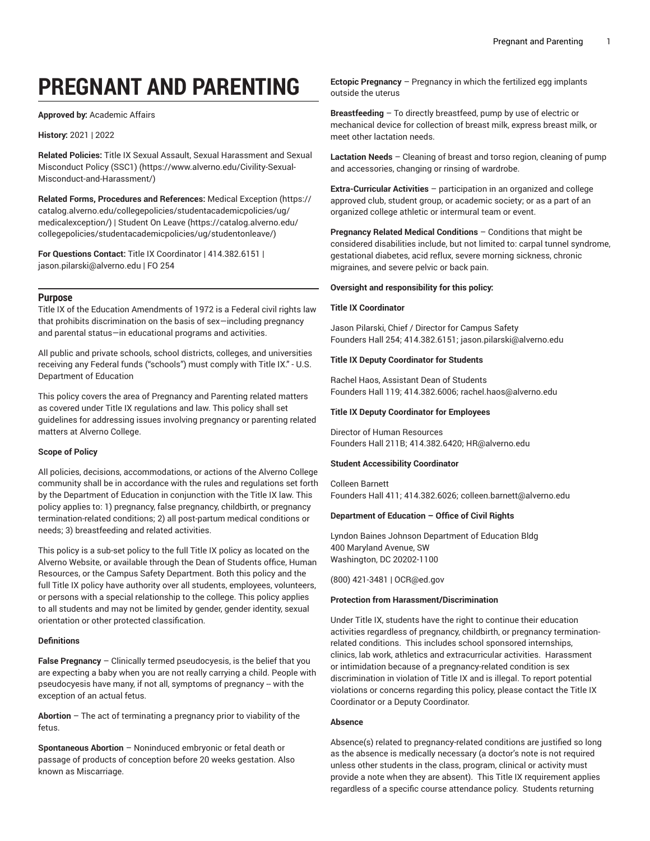# **PREGNANT AND PARENTING**

**Approved by:** Academic Affairs

# **History:** 2021 | 2022

**Related Policies:** Title IX Sexual Assault, Sexual [Harassment](https://www.alverno.edu/Civility-Sexual-Misconduct-and-Harassment/) and Sexual [Misconduct](https://www.alverno.edu/Civility-Sexual-Misconduct-and-Harassment/) Policy (SSC1) ([https://www.alverno.edu/Civility-Sexual-](https://www.alverno.edu/Civility-Sexual-Misconduct-and-Harassment/)[Misconduct-and-Harassment/\)](https://www.alverno.edu/Civility-Sexual-Misconduct-and-Harassment/)

**Related Forms, Procedures and References:** Medical [Exception](https://catalog.alverno.edu/collegepolicies/studentacademicpolicies/ug/medicalexception/) [\(https://](https://catalog.alverno.edu/collegepolicies/studentacademicpolicies/ug/medicalexception/) [catalog.alverno.edu/collegepolicies/studentacademicpolicies/ug/](https://catalog.alverno.edu/collegepolicies/studentacademicpolicies/ug/medicalexception/) [medicalexception/\)](https://catalog.alverno.edu/collegepolicies/studentacademicpolicies/ug/medicalexception/) | [Student](https://catalog.alverno.edu/collegepolicies/studentacademicpolicies/ug/studentonleave/) On Leave [\(https://catalog.alverno.edu/](https://catalog.alverno.edu/collegepolicies/studentacademicpolicies/ug/studentonleave/) [collegepolicies/studentacademicpolicies/ug/studentonleave/\)](https://catalog.alverno.edu/collegepolicies/studentacademicpolicies/ug/studentonleave/)

**For Questions Contact:** Title IX Coordinator | 414.382.6151 | [jason.pilarski@alverno.edu](mailto:jason.pilarski@alverno.edu) | FO 254

# **Purpose**

Title IX of the Education Amendments of 1972 is a Federal civil rights law that prohibits discrimination on the basis of sex—including pregnancy and parental status—in educational programs and activities.

All public and private schools, school districts, colleges, and universities receiving any Federal funds ("schools") must comply with Title IX." - U.S. Department of Education

This policy covers the area of Pregnancy and Parenting related matters as covered under Title IX regulations and law. This policy shall set guidelines for addressing issues involving pregnancy or parenting related matters at Alverno College.

# **Scope of Policy**

All policies, decisions, accommodations, or actions of the Alverno College community shall be in accordance with the rules and regulations set forth by the Department of Education in conjunction with the Title IX law. This policy applies to: 1) pregnancy, false pregnancy, childbirth, or pregnancy termination-related conditions; 2) all post-partum medical conditions or needs; 3) breastfeeding and related activities.

This policy is a sub-set policy to the full Title IX policy as located on the Alverno Website, or available through the Dean of Students office, Human Resources, or the Campus Safety Department. Both this policy and the full Title IX policy have authority over all students, employees, volunteers, or persons with a special relationship to the college. This policy applies to all students and may not be limited by gender, gender identity, sexual orientation or other protected classification.

# **Definitions**

**False Pregnancy** – Clinically termed pseudocyesis, is the belief that you are expecting a baby when you are not really carrying a child. People with pseudocyesis have many, if not all, symptoms of pregnancy -- with the exception of an actual fetus.

**Abortion** – The act of terminating a pregnancy prior to viability of the fetus.

**Spontaneous Abortion** – Noninduced embryonic or fetal death or passage of products of conception before 20 weeks gestation. Also known as Miscarriage.

**Ectopic Pregnancy** – Pregnancy in which the fertilized egg implants outside the uterus

**Breastfeeding** – To directly breastfeed, pump by use of electric or mechanical device for collection of breast milk, express breast milk, or meet other lactation needs.

**Lactation Needs** – Cleaning of breast and torso region, cleaning of pump and accessories, changing or rinsing of wardrobe.

**Extra-Curricular Activities** – participation in an organized and college approved club, student group, or academic society; or as a part of an organized college athletic or intermural team or event.

**Pregnancy Related Medical Conditions** – Conditions that might be considered disabilities include, but not limited to: carpal tunnel syndrome, gestational diabetes, acid reflux, severe morning sickness, chronic migraines, and severe pelvic or back pain.

# **Oversight and responsibility for this policy:**

# **Title IX Coordinator**

Jason Pilarski, Chief / Director for Campus Safety Founders Hall 254; 414.382.6151; [jason.pilarski@alverno.edu](mailto:jason.pilarski@alverno.edu)

# **Title IX Deputy Coordinator for Students**

Rachel Haos, Assistant Dean of Students Founders Hall 119; 414.382.6006; [rachel.haos@alverno.edu](mailto:rachel.haos@alverno.edu)

# **Title IX Deputy Coordinator for Employees**

Director of Human Resources Founders Hall 211B; 414.382.6420; [HR@alverno.edu](mailto:HR@alverno.edu)

# **Student Accessibility Coordinator**

Colleen Barnett Founders Hall 411; 414.382.6026; [colleen.barnett@alverno.edu](mailto:colleen.barnett@alverno.edu)

# **Department of Education – Office of Civil Rights**

Lyndon Baines Johnson Department of Education Bldg 400 Maryland Avenue, SW Washington, DC 20202-1100

(800) 421-3481 | [OCR@ed.gov](mailto:OCR@ed.gov)

# **Protection from Harassment/Discrimination**

Under Title IX, students have the right to continue their education activities regardless of pregnancy, childbirth, or pregnancy terminationrelated conditions. This includes school sponsored internships, clinics, lab work, athletics and extracurricular activities. Harassment or intimidation because of a pregnancy-related condition is sex discrimination in violation of Title IX and is illegal. To report potential violations or concerns regarding this policy, please contact the Title IX Coordinator or a Deputy Coordinator.

# **Absence**

Absence(s) related to pregnancy-related conditions are justified so long as the absence is medically necessary (a doctor's note is not required unless other students in the class, program, clinical or activity must provide a note when they are absent). This Title IX requirement applies regardless of a specific course attendance policy. Students returning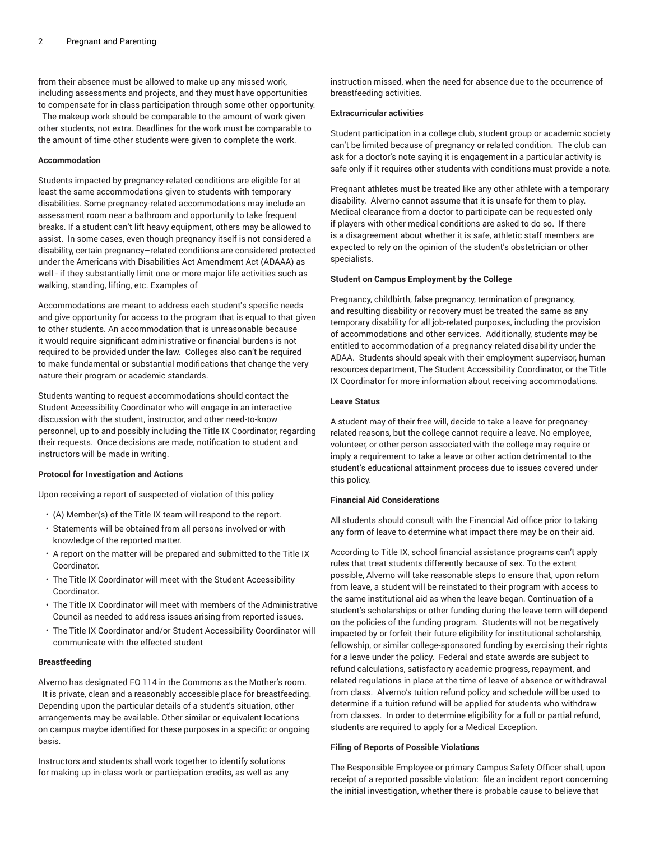from their absence must be allowed to make up any missed work, including assessments and projects, and they must have opportunities to compensate for in-class participation through some other opportunity.

The makeup work should be comparable to the amount of work given other students, not extra. Deadlines for the work must be comparable to the amount of time other students were given to complete the work.

## **Accommodation**

Students impacted by pregnancy-related conditions are eligible for at least the same accommodations given to students with temporary disabilities. Some pregnancy-related accommodations may include an assessment room near a bathroom and opportunity to take frequent breaks. If a student can't lift heavy equipment, others may be allowed to assist. In some cases, even though pregnancy itself is not considered a disability, certain pregnancy–related conditions are considered protected under the Americans with Disabilities Act Amendment Act (ADAAA) as well - if they substantially limit one or more major life activities such as walking, standing, lifting, etc. Examples of

Accommodations are meant to address each student's specific needs and give opportunity for access to the program that is equal to that given to other students. An accommodation that is unreasonable because it would require significant administrative or financial burdens is not required to be provided under the law. Colleges also can't be required to make fundamental or substantial modifications that change the very nature their program or academic standards.

Students wanting to request accommodations should contact the Student Accessibility Coordinator who will engage in an interactive discussion with the student, instructor, and other need-to-know personnel, up to and possibly including the Title IX Coordinator, regarding their requests. Once decisions are made, notification to student and instructors will be made in writing.

# **Protocol for Investigation and Actions**

Upon receiving a report of suspected of violation of this policy

- (A) Member(s) of the Title IX team will respond to the report.
- Statements will be obtained from all persons involved or with knowledge of the reported matter.
- A report on the matter will be prepared and submitted to the Title IX Coordinator.
- The Title IX Coordinator will meet with the Student Accessibility Coordinator.
- The Title IX Coordinator will meet with members of the Administrative Council as needed to address issues arising from reported issues.
- The Title IX Coordinator and/or Student Accessibility Coordinator will communicate with the effected student

#### **Breastfeeding**

Alverno has designated FO 114 in the Commons as the Mother's room. It is private, clean and a reasonably accessible place for breastfeeding. Depending upon the particular details of a student's situation, other arrangements may be available. Other similar or equivalent locations on campus maybe identified for these purposes in a specific or ongoing basis.

Instructors and students shall work together to identify solutions for making up in-class work or participation credits, as well as any instruction missed, when the need for absence due to the occurrence of breastfeeding activities.

#### **Extracurricular activities**

Student participation in a college club, student group or academic society can't be limited because of pregnancy or related condition. The club can ask for a doctor's note saying it is engagement in a particular activity is safe only if it requires other students with conditions must provide a note.

Pregnant athletes must be treated like any other athlete with a temporary disability. Alverno cannot assume that it is unsafe for them to play. Medical clearance from a doctor to participate can be requested only if players with other medical conditions are asked to do so. If there is a disagreement about whether it is safe, athletic staff members are expected to rely on the opinion of the student's obstetrician or other specialists.

#### **Student on Campus Employment by the College**

Pregnancy, childbirth, false pregnancy, termination of pregnancy, and resulting disability or recovery must be treated the same as any temporary disability for all job-related purposes, including the provision of accommodations and other services. Additionally, students may be entitled to accommodation of a pregnancy-related disability under the ADAA. Students should speak with their employment supervisor, human resources department, The Student Accessibility Coordinator, or the Title IX Coordinator for more information about receiving accommodations.

#### **Leave Status**

A student may of their free will, decide to take a leave for pregnancyrelated reasons, but the college cannot require a leave. No employee, volunteer, or other person associated with the college may require or imply a requirement to take a leave or other action detrimental to the student's educational attainment process due to issues covered under this policy.

## **Financial Aid Considerations**

All students should consult with the Financial Aid office prior to taking any form of leave to determine what impact there may be on their aid.

According to Title IX, school financial assistance programs can't apply rules that treat students differently because of sex. To the extent possible, Alverno will take reasonable steps to ensure that, upon return from leave, a student will be reinstated to their program with access to the same institutional aid as when the leave began. Continuation of a student's scholarships or other funding during the leave term will depend on the policies of the funding program. Students will not be negatively impacted by or forfeit their future eligibility for institutional scholarship, fellowship, or similar college-sponsored funding by exercising their rights for a leave under the policy. Federal and state awards are subject to refund calculations, satisfactory academic progress, repayment, and related regulations in place at the time of leave of absence or withdrawal from class. Alverno's tuition refund policy and schedule will be used to determine if a tuition refund will be applied for students who withdraw from classes. In order to determine eligibility for a full or partial refund, students are required to apply for a Medical Exception.

#### **Filing of Reports of Possible Violations**

The Responsible Employee or primary Campus Safety Officer shall, upon receipt of a reported possible violation: file an incident report concerning the initial investigation, whether there is probable cause to believe that